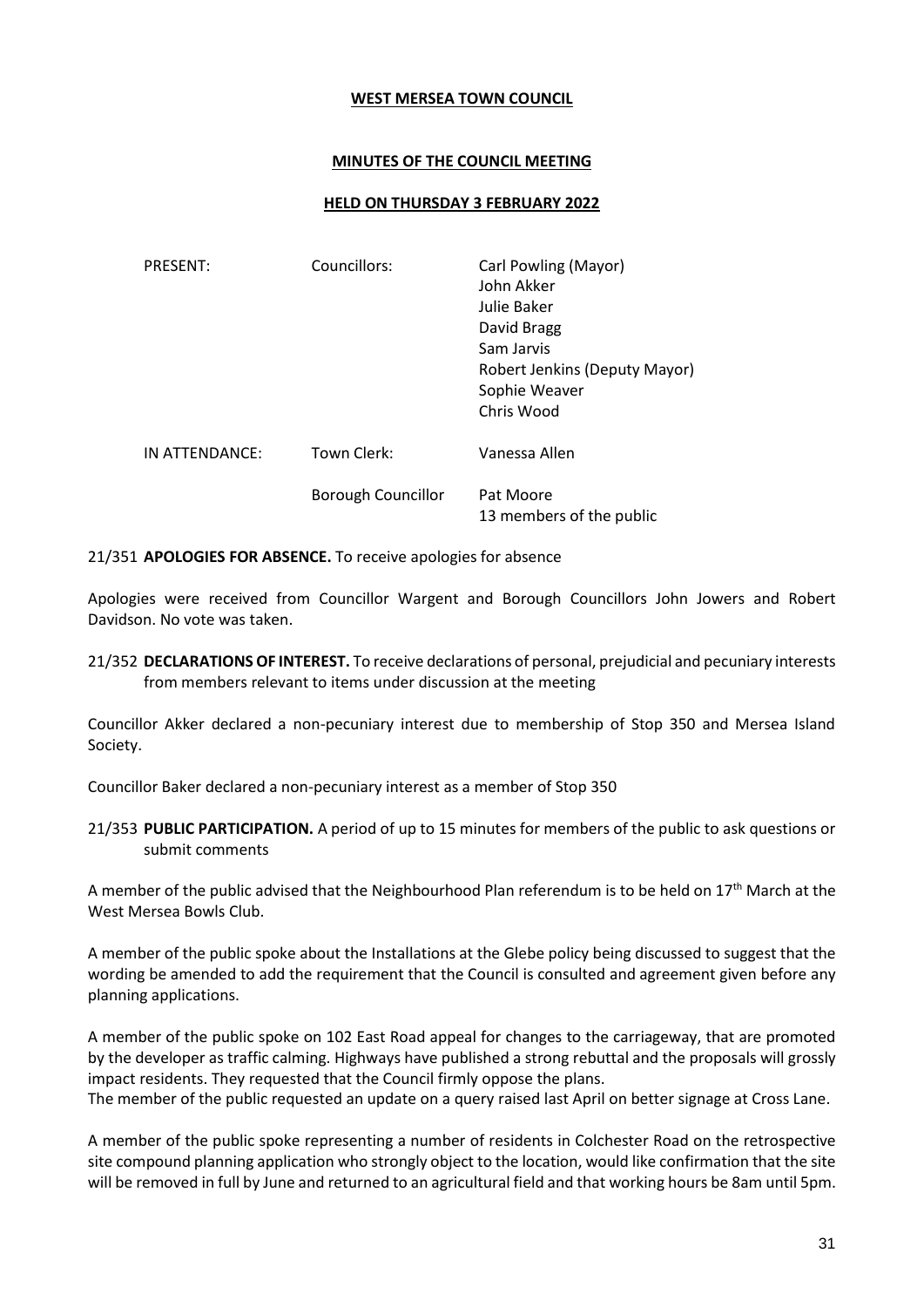#### **WEST MERSEA TOWN COUNCIL**

### **MINUTES OF THE COUNCIL MEETING**

#### **HELD ON THURSDAY 3 FEBRUARY 2022**

| <b>PRESENT:</b> | Councillors:              | Carl Powling (Mayor)<br>John Akker<br>Julie Baker<br>David Bragg<br>Sam Jarvis<br>Robert Jenkins (Deputy Mayor)<br>Sophie Weaver<br>Chris Wood |
|-----------------|---------------------------|------------------------------------------------------------------------------------------------------------------------------------------------|
| IN ATTENDANCE:  | Town Clerk:               | Vanessa Allen                                                                                                                                  |
|                 | <b>Borough Councillor</b> | Pat Moore<br>13 members of the public                                                                                                          |

21/351 **APOLOGIES FOR ABSENCE.** To receive apologies for absence

Apologies were received from Councillor Wargent and Borough Councillors John Jowers and Robert Davidson. No vote was taken.

21/352 **DECLARATIONS OF INTEREST.** To receive declarations of personal, prejudicial and pecuniary interests from members relevant to items under discussion at the meeting

Councillor Akker declared a non-pecuniary interest due to membership of Stop 350 and Mersea Island Society.

Councillor Baker declared a non-pecuniary interest as a member of Stop 350

21/353 **PUBLIC PARTICIPATION.** A period of up to 15 minutes for members of the public to ask questions or submit comments

A member of the public advised that the Neighbourhood Plan referendum is to be held on  $17<sup>th</sup>$  March at the West Mersea Bowls Club.

A member of the public spoke about the Installations at the Glebe policy being discussed to suggest that the wording be amended to add the requirement that the Council is consulted and agreement given before any planning applications.

A member of the public spoke on 102 East Road appeal for changes to the carriageway, that are promoted by the developer as traffic calming. Highways have published a strong rebuttal and the proposals will grossly impact residents. They requested that the Council firmly oppose the plans. The member of the public requested an update on a query raised last April on better signage at Cross Lane.

A member of the public spoke representing a number of residents in Colchester Road on the retrospective site compound planning application who strongly object to the location, would like confirmation that the site will be removed in full by June and returned to an agricultural field and that working hours be 8am until 5pm.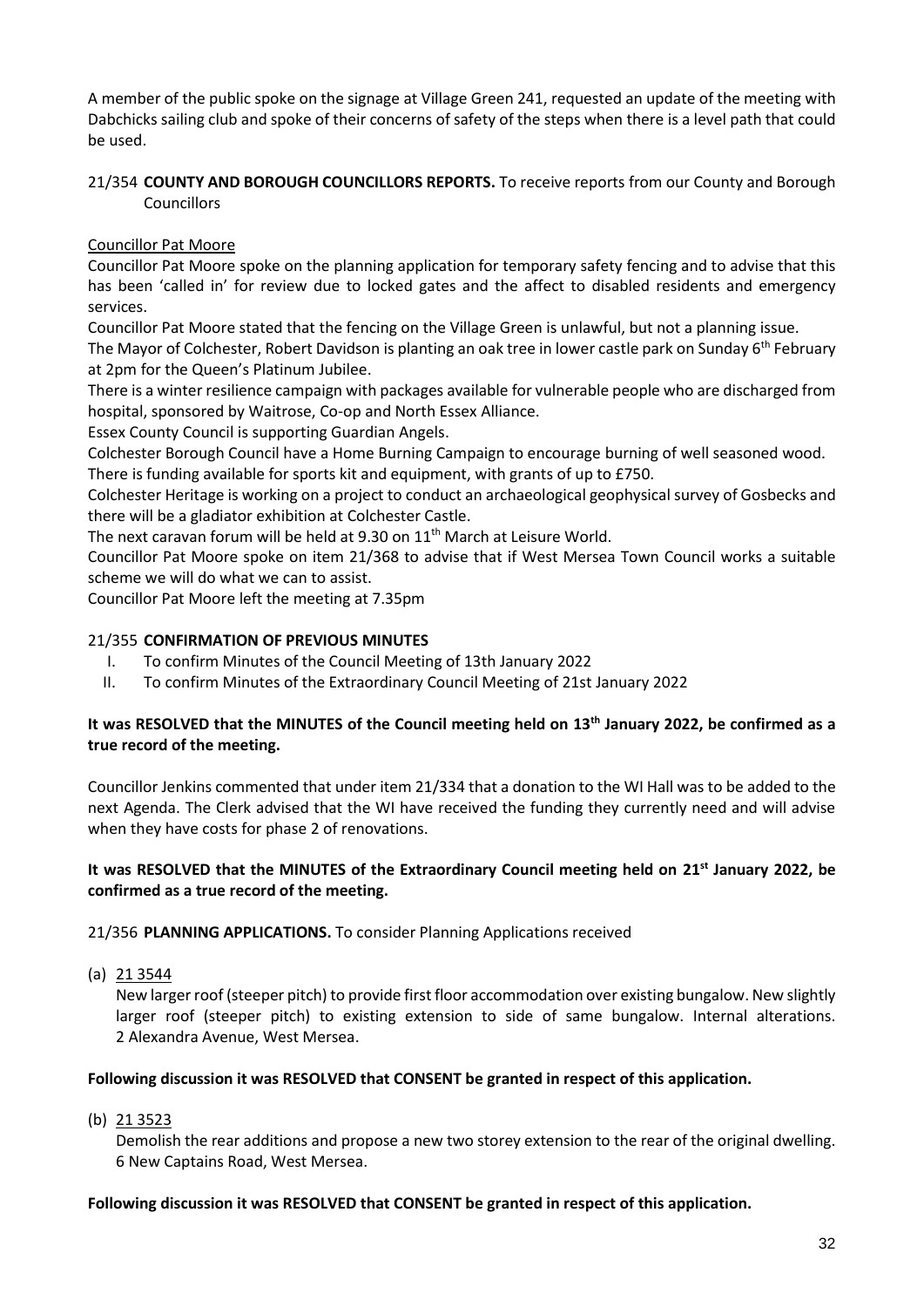A member of the public spoke on the signage at Village Green 241, requested an update of the meeting with Dabchicks sailing club and spoke of their concerns of safety of the steps when there is a level path that could be used.

## 21/354 **COUNTY AND BOROUGH COUNCILLORS REPORTS.** To receive reports from our County and Borough Councillors

# Councillor Pat Moore

Councillor Pat Moore spoke on the planning application for temporary safety fencing and to advise that this has been 'called in' for review due to locked gates and the affect to disabled residents and emergency services.

Councillor Pat Moore stated that the fencing on the Village Green is unlawful, but not a planning issue.

The Mayor of Colchester, Robert Davidson is planting an oak tree in lower castle park on Sunday 6<sup>th</sup> February at 2pm for the Queen's Platinum Jubilee.

There is a winter resilience campaign with packages available for vulnerable people who are discharged from hospital, sponsored by Waitrose, Co-op and North Essex Alliance.

Essex County Council is supporting Guardian Angels.

Colchester Borough Council have a Home Burning Campaign to encourage burning of well seasoned wood.

There is funding available for sports kit and equipment, with grants of up to £750.

Colchester Heritage is working on a project to conduct an archaeological geophysical survey of Gosbecks and there will be a gladiator exhibition at Colchester Castle.

The next caravan forum will be held at 9.30 on 11<sup>th</sup> March at Leisure World.

Councillor Pat Moore spoke on item 21/368 to advise that if West Mersea Town Council works a suitable scheme we will do what we can to assist.

Councillor Pat Moore left the meeting at 7.35pm

## 21/355 **CONFIRMATION OF PREVIOUS MINUTES**

- I. To confirm Minutes of the Council Meeting of 13th January 2022
- II. To confirm Minutes of the Extraordinary Council Meeting of 21st January 2022

## **It was RESOLVED that the MINUTES of the Council meeting held on 13th January 2022, be confirmed as a true record of the meeting.**

Councillor Jenkins commented that under item 21/334 that a donation to the WI Hall was to be added to the next Agenda. The Clerk advised that the WI have received the funding they currently need and will advise when they have costs for phase 2 of renovations.

## It was RESOLVED that the MINUTES of the Extraordinary Council meeting held on 21<sup>st</sup> January 2022, be **confirmed as a true record of the meeting.**

21/356 **PLANNING APPLICATIONS.** To consider Planning Applications received

(a) 21 3544

New larger roof (steeper pitch) to provide first floor accommodation over existing bungalow. New slightly larger roof (steeper pitch) to existing extension to side of same bungalow. Internal alterations. 2 Alexandra Avenue, West Mersea.

## **Following discussion it was RESOLVED that CONSENT be granted in respect of this application.**

(b) 21 3523

Demolish the rear additions and propose a new two storey extension to the rear of the original dwelling. 6 New Captains Road, West Mersea.

### **Following discussion it was RESOLVED that CONSENT be granted in respect of this application.**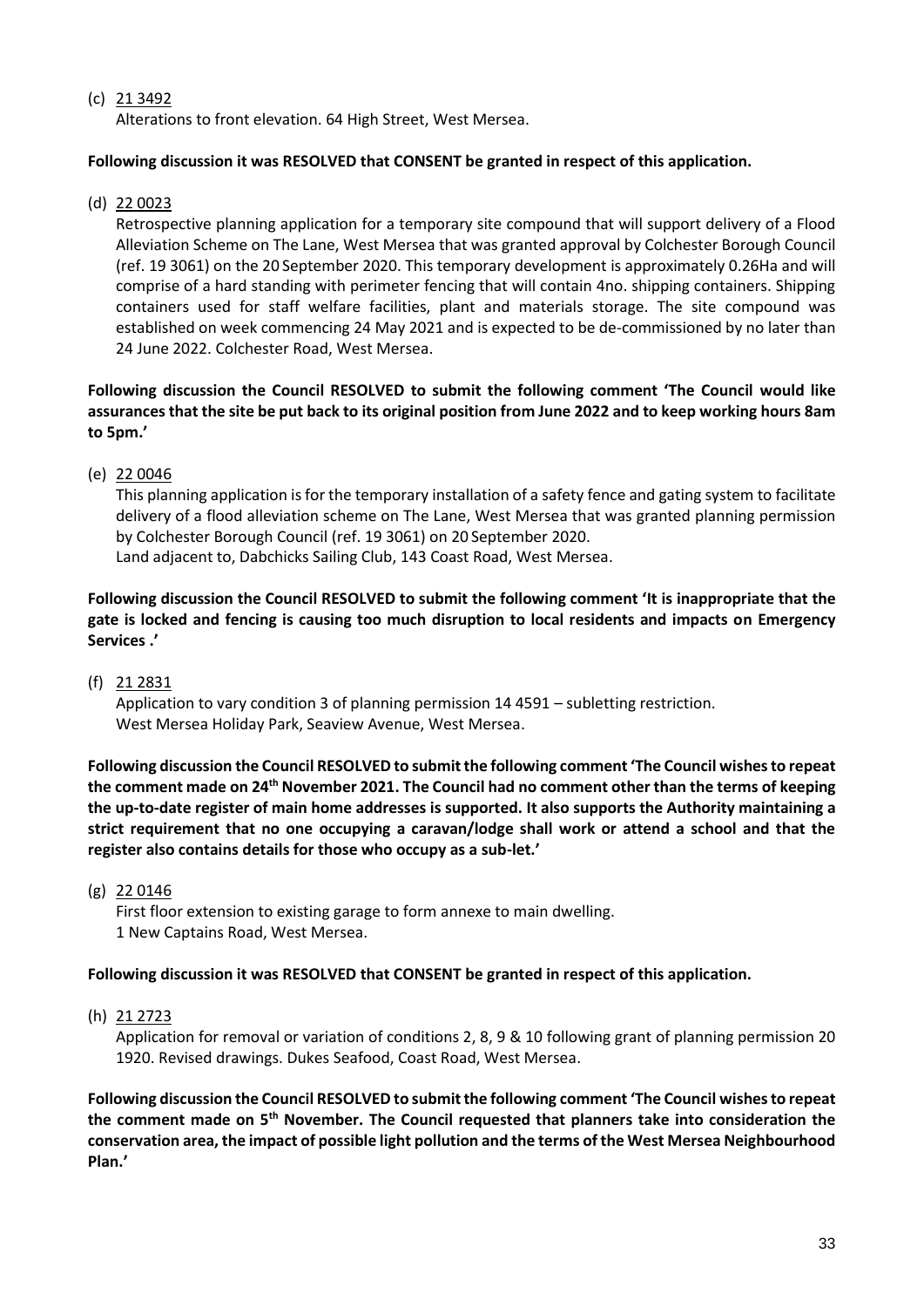## (c) 21 3492

Alterations to front elevation. 64 High Street, West Mersea.

### **Following discussion it was RESOLVED that CONSENT be granted in respect of this application.**

(d) 22 0023

Retrospective planning application for a temporary site compound that will support delivery of a Flood Alleviation Scheme on The Lane, West Mersea that was granted approval by Colchester Borough Council (ref. 19 3061) on the 20 September 2020. This temporary development is approximately 0.26Ha and will comprise of a hard standing with perimeter fencing that will contain 4no. shipping containers. Shipping containers used for staff welfare facilities, plant and materials storage. The site compound was established on week commencing 24 May 2021 and is expected to be de-commissioned by no later than 24 June 2022. Colchester Road, West Mersea.

**Following discussion the Council RESOLVED to submit the following comment 'The Council would like assurances that the site be put back to its original position from June 2022 and to keep working hours 8am to 5pm.'**

(e) 22 0046

This planning application is for the temporary installation of a safety fence and gating system to facilitate delivery of a flood alleviation scheme on The Lane, West Mersea that was granted planning permission by Colchester Borough Council (ref. 19 3061) on 20 September 2020.

Land adjacent to, Dabchicks Sailing Club, 143 Coast Road, West Mersea.

**Following discussion the Council RESOLVED to submit the following comment 'It is inappropriate that the gate is locked and fencing is causing too much disruption to local residents and impacts on Emergency Services .'**

(f) 21 2831

Application to vary condition 3 of planning permission 14 4591 – subletting restriction. West Mersea Holiday Park, Seaview Avenue, West Mersea.

**Following discussion the Council RESOLVED to submit the following comment 'The Council wishes to repeat the comment made on 24th November 2021. The Council had no comment other than the terms of keeping the up-to-date register of main home addresses is supported. It also supports the Authority maintaining a strict requirement that no one occupying a caravan/lodge shall work or attend a school and that the register also contains details for those who occupy as a sub-let.'**

(g) 22 0146

First floor extension to existing garage to form annexe to main dwelling. 1 New Captains Road, West Mersea.

### **Following discussion it was RESOLVED that CONSENT be granted in respect of this application.**

(h) 21 2723

Application for removal or variation of conditions 2, 8, 9 & 10 following grant of planning permission 20 1920. Revised drawings. Dukes Seafood, Coast Road, West Mersea.

**Following discussion the Council RESOLVED to submit the following comment 'The Council wishes to repeat the comment made on 5th November. The Council requested that planners take into consideration the conservation area, the impact of possible light pollution and the terms of the West Mersea Neighbourhood Plan.'**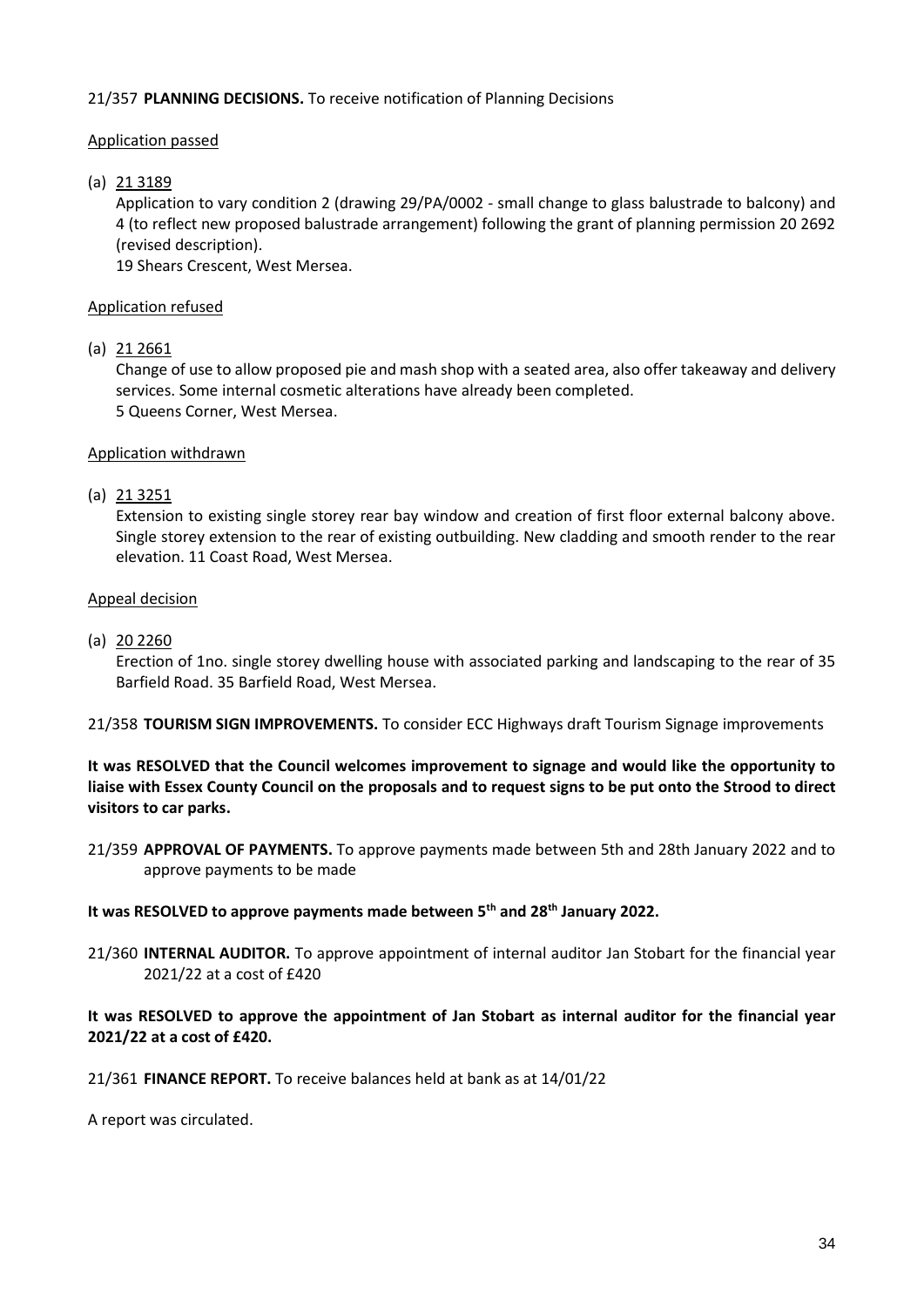## 21/357 **PLANNING DECISIONS.** To receive notification of Planning Decisions

## Application passed

## (a) 21 3189

Application to vary condition 2 (drawing 29/PA/0002 - small change to glass balustrade to balcony) and 4 (to reflect new proposed balustrade arrangement) following the grant of planning permission 20 2692 (revised description).

19 Shears Crescent, West Mersea.

## Application refused

### (a) 21 2661

Change of use to allow proposed pie and mash shop with a seated area, also offer takeaway and delivery services. Some internal cosmetic alterations have already been completed. 5 Queens Corner, West Mersea.

### Application withdrawn

### (a) 21 3251

Extension to existing single storey rear bay window and creation of first floor external balcony above. Single storey extension to the rear of existing outbuilding. New cladding and smooth render to the rear elevation. 11 Coast Road, West Mersea.

### Appeal decision

(a) 20 2260

Erection of 1no. single storey dwelling house with associated parking and landscaping to the rear of 35 Barfield Road. 35 Barfield Road, West Mersea.

21/358 **TOURISM SIGN IMPROVEMENTS.** To consider ECC Highways draft Tourism Signage improvements

## **It was RESOLVED that the Council welcomes improvement to signage and would like the opportunity to liaise with Essex County Council on the proposals and to request signs to be put onto the Strood to direct visitors to car parks.**

21/359 **APPROVAL OF PAYMENTS.** To approve payments made between 5th and 28th January 2022 and to approve payments to be made

### **It was RESOLVED to approve payments made between 5th and 28th January 2022.**

21/360 **INTERNAL AUDITOR.** To approve appointment of internal auditor Jan Stobart for the financial year 2021/22 at a cost of £420

## **It was RESOLVED to approve the appointment of Jan Stobart as internal auditor for the financial year 2021/22 at a cost of £420.**

### 21/361 **FINANCE REPORT.** To receive balances held at bank as at 14/01/22

A report was circulated.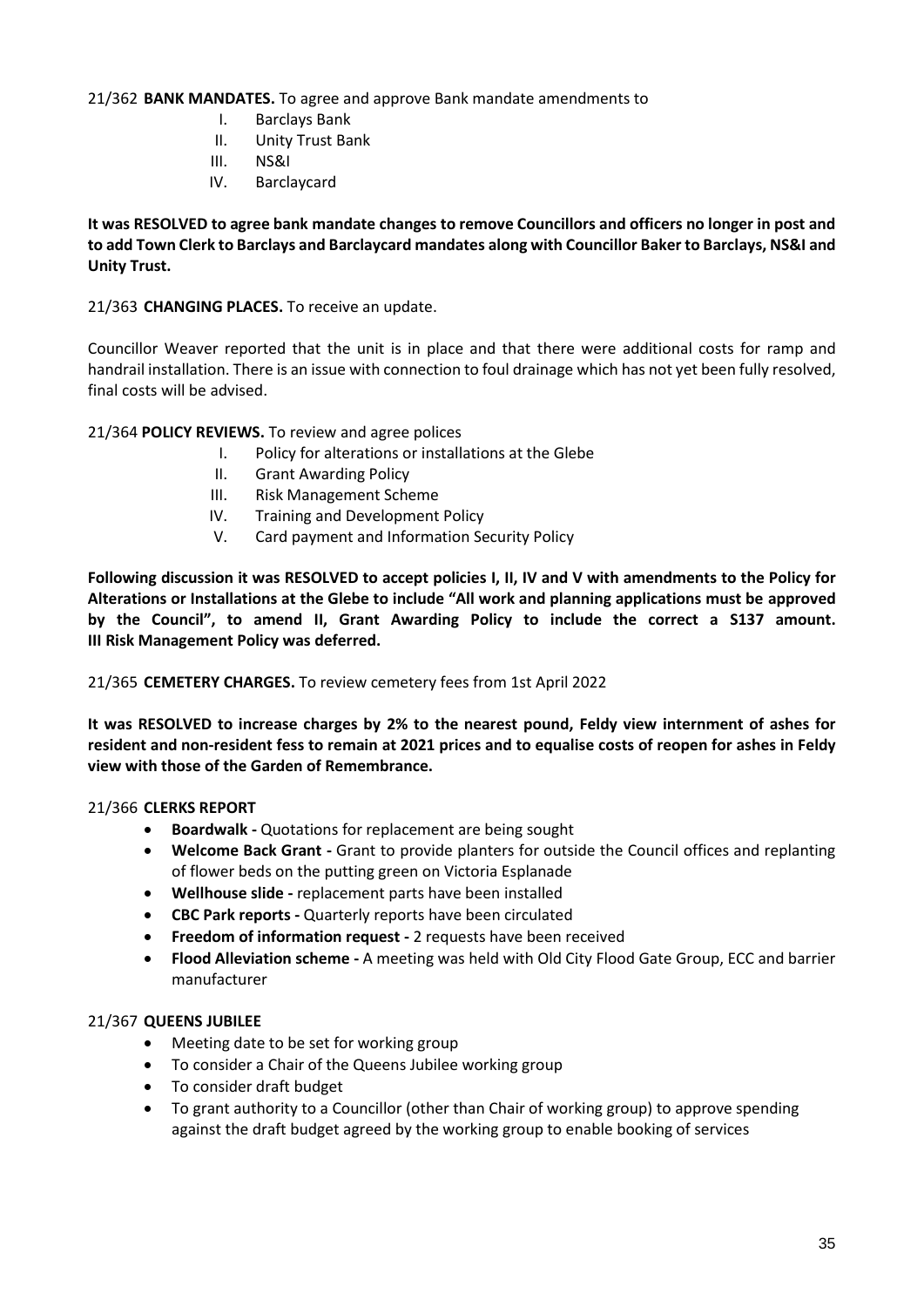21/362 **BANK MANDATES.** To agree and approve Bank mandate amendments to

- I. Barclays Bank
- II. Unity Trust Bank
- III. NS&I
- IV. Barclaycard

**It was RESOLVED to agree bank mandate changes to remove Councillors and officers no longer in post and to add Town Clerk to Barclays and Barclaycard mandates along with Councillor Baker to Barclays, NS&I and Unity Trust.** 

21/363 **CHANGING PLACES.** To receive an update.

Councillor Weaver reported that the unit is in place and that there were additional costs for ramp and handrail installation. There is an issue with connection to foul drainage which has not yet been fully resolved, final costs will be advised.

21/364 **POLICY REVIEWS.** To review and agree polices

- I. Policy for alterations or installations at the Glebe
- II. Grant Awarding Policy
- III. Risk Management Scheme
- IV. Training and Development Policy
- V. Card payment and Information Security Policy

**Following discussion it was RESOLVED to accept policies I, II, IV and V with amendments to the Policy for Alterations or Installations at the Glebe to include "All work and planning applications must be approved by the Council", to amend II, Grant Awarding Policy to include the correct a S137 amount. III Risk Management Policy was deferred.** 

21/365 **CEMETERY CHARGES.** To review cemetery fees from 1st April 2022

**It was RESOLVED to increase charges by 2% to the nearest pound, Feldy view internment of ashes for resident and non-resident fess to remain at 2021 prices and to equalise costs of reopen for ashes in Feldy view with those of the Garden of Remembrance.** 

### 21/366 **CLERKS REPORT**

- **Boardwalk -** Quotations for replacement are being sought
- **Welcome Back Grant -** Grant to provide planters for outside the Council offices and replanting of flower beds on the putting green on Victoria Esplanade
- **Wellhouse slide -** replacement parts have been installed
- **CBC Park reports -** Quarterly reports have been circulated
- **Freedom of information request -** 2 requests have been received
- **Flood Alleviation scheme -** A meeting was held with Old City Flood Gate Group, ECC and barrier manufacturer

### 21/367 **QUEENS JUBILEE**

- Meeting date to be set for working group
- To consider a Chair of the Queens Jubilee working group
- To consider draft budget
- To grant authority to a Councillor (other than Chair of working group) to approve spending against the draft budget agreed by the working group to enable booking of services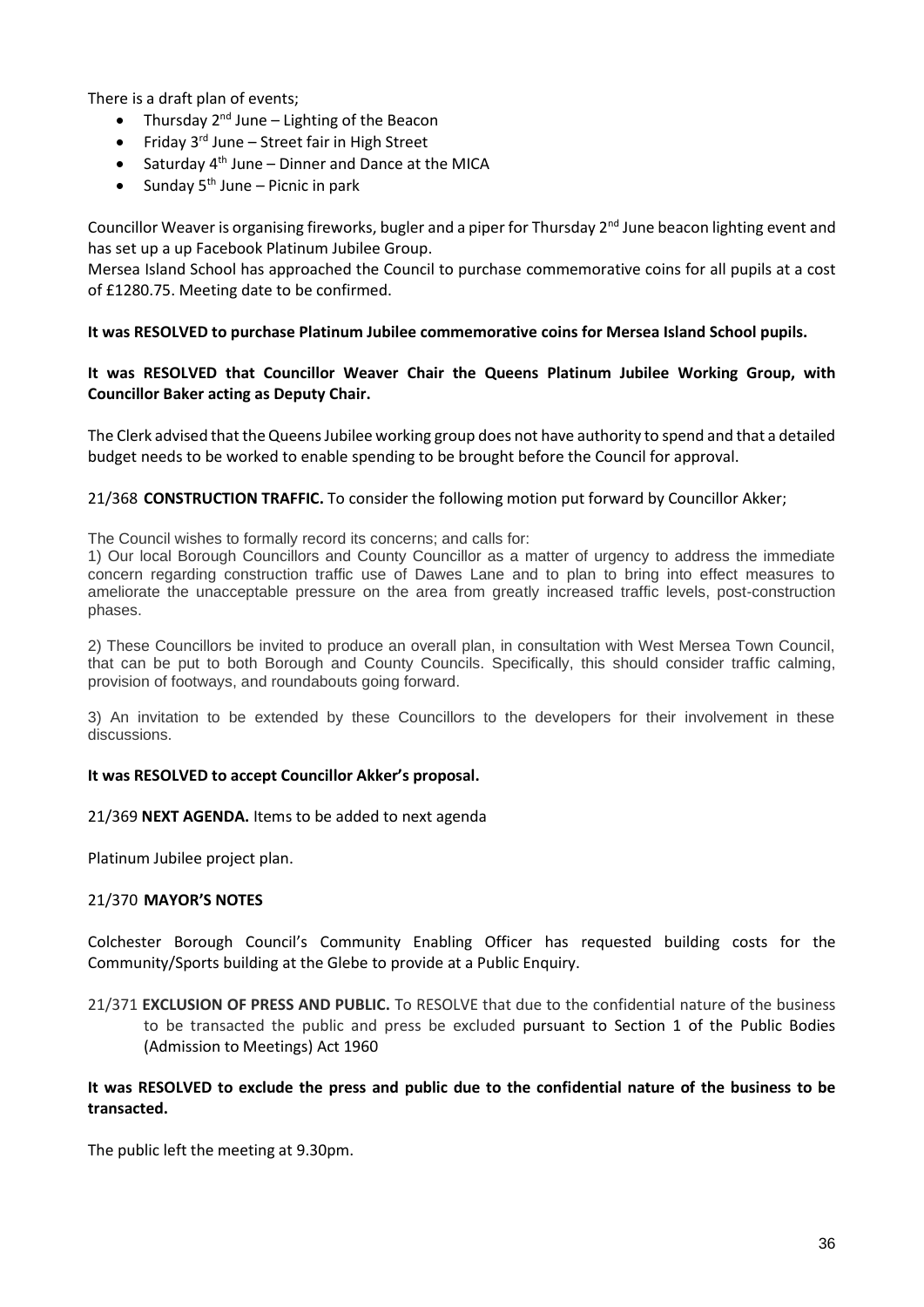There is a draft plan of events;

- Thursday  $2^{nd}$  June Lighting of the Beacon
- Friday  $3^{rd}$  June Street fair in High Street
- Saturday  $4<sup>th</sup>$  June Dinner and Dance at the MICA
- Sunday  $5^{th}$  June Picnic in park

Councillor Weaver is organising fireworks, bugler and a piper for Thursday  $2^{nd}$  June beacon lighting event and has set up a up Facebook Platinum Jubilee Group.

Mersea Island School has approached the Council to purchase commemorative coins for all pupils at a cost of £1280.75. Meeting date to be confirmed.

### **It was RESOLVED to purchase Platinum Jubilee commemorative coins for Mersea Island School pupils.**

### **It was RESOLVED that Councillor Weaver Chair the Queens Platinum Jubilee Working Group, with Councillor Baker acting as Deputy Chair.**

The Clerk advised that the Queens Jubilee working group does not have authority to spend and that a detailed budget needs to be worked to enable spending to be brought before the Council for approval.

#### 21/368 **CONSTRUCTION TRAFFIC.** To consider the following motion put forward by Councillor Akker;

The Council wishes to formally record its concerns; and calls for:

1) Our local Borough Councillors and County Councillor as a matter of urgency to address the immediate concern regarding construction traffic use of Dawes Lane and to plan to bring into effect measures to ameliorate the unacceptable pressure on the area from greatly increased traffic levels, post-construction phases.

2) These Councillors be invited to produce an overall plan, in consultation with West Mersea Town Council, that can be put to both Borough and County Councils. Specifically, this should consider traffic calming, provision of footways, and roundabouts going forward.

3) An invitation to be extended by these Councillors to the developers for their involvement in these discussions.

### **It was RESOLVED to accept Councillor Akker's proposal.**

### 21/369 **NEXT AGENDA.** Items to be added to next agenda

Platinum Jubilee project plan.

### 21/370 **MAYOR'S NOTES**

Colchester Borough Council's Community Enabling Officer has requested building costs for the Community/Sports building at the Glebe to provide at a Public Enquiry.

21/371 **EXCLUSION OF PRESS AND PUBLIC.** To RESOLVE that due to the confidential nature of the business to be transacted the public and press be excluded pursuant to Section 1 of the Public Bodies (Admission to Meetings) Act 1960

### **It was RESOLVED to exclude the press and public due to the confidential nature of the business to be transacted.**

The public left the meeting at 9.30pm.